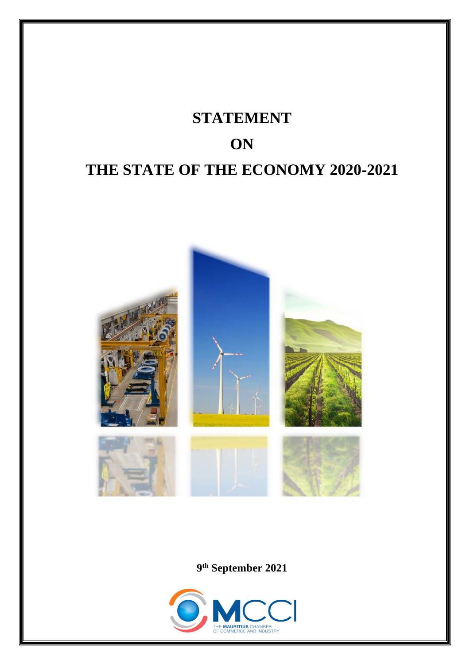

**9 th September 2021**

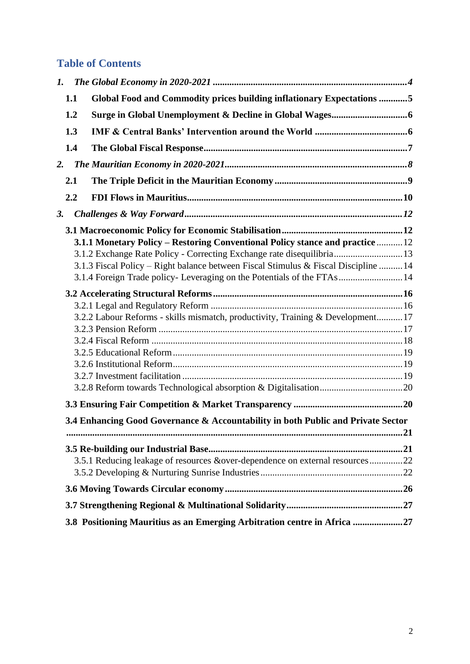# **Table of Contents**

| 1.  |                  |                                                                                                                                                                                                                                                                                                                                                                                                                                                                                                                                                                                                                                                                                                                                      |
|-----|------------------|--------------------------------------------------------------------------------------------------------------------------------------------------------------------------------------------------------------------------------------------------------------------------------------------------------------------------------------------------------------------------------------------------------------------------------------------------------------------------------------------------------------------------------------------------------------------------------------------------------------------------------------------------------------------------------------------------------------------------------------|
| 1.1 |                  |                                                                                                                                                                                                                                                                                                                                                                                                                                                                                                                                                                                                                                                                                                                                      |
| 1.2 |                  |                                                                                                                                                                                                                                                                                                                                                                                                                                                                                                                                                                                                                                                                                                                                      |
| 1.3 |                  |                                                                                                                                                                                                                                                                                                                                                                                                                                                                                                                                                                                                                                                                                                                                      |
| 1.4 |                  |                                                                                                                                                                                                                                                                                                                                                                                                                                                                                                                                                                                                                                                                                                                                      |
|     |                  |                                                                                                                                                                                                                                                                                                                                                                                                                                                                                                                                                                                                                                                                                                                                      |
|     |                  |                                                                                                                                                                                                                                                                                                                                                                                                                                                                                                                                                                                                                                                                                                                                      |
|     |                  |                                                                                                                                                                                                                                                                                                                                                                                                                                                                                                                                                                                                                                                                                                                                      |
|     |                  |                                                                                                                                                                                                                                                                                                                                                                                                                                                                                                                                                                                                                                                                                                                                      |
|     |                  |                                                                                                                                                                                                                                                                                                                                                                                                                                                                                                                                                                                                                                                                                                                                      |
|     |                  |                                                                                                                                                                                                                                                                                                                                                                                                                                                                                                                                                                                                                                                                                                                                      |
|     |                  |                                                                                                                                                                                                                                                                                                                                                                                                                                                                                                                                                                                                                                                                                                                                      |
|     |                  |                                                                                                                                                                                                                                                                                                                                                                                                                                                                                                                                                                                                                                                                                                                                      |
|     |                  |                                                                                                                                                                                                                                                                                                                                                                                                                                                                                                                                                                                                                                                                                                                                      |
|     |                  |                                                                                                                                                                                                                                                                                                                                                                                                                                                                                                                                                                                                                                                                                                                                      |
|     |                  |                                                                                                                                                                                                                                                                                                                                                                                                                                                                                                                                                                                                                                                                                                                                      |
|     |                  |                                                                                                                                                                                                                                                                                                                                                                                                                                                                                                                                                                                                                                                                                                                                      |
|     |                  |                                                                                                                                                                                                                                                                                                                                                                                                                                                                                                                                                                                                                                                                                                                                      |
|     |                  |                                                                                                                                                                                                                                                                                                                                                                                                                                                                                                                                                                                                                                                                                                                                      |
|     |                  |                                                                                                                                                                                                                                                                                                                                                                                                                                                                                                                                                                                                                                                                                                                                      |
|     |                  |                                                                                                                                                                                                                                                                                                                                                                                                                                                                                                                                                                                                                                                                                                                                      |
|     |                  |                                                                                                                                                                                                                                                                                                                                                                                                                                                                                                                                                                                                                                                                                                                                      |
|     |                  |                                                                                                                                                                                                                                                                                                                                                                                                                                                                                                                                                                                                                                                                                                                                      |
|     |                  |                                                                                                                                                                                                                                                                                                                                                                                                                                                                                                                                                                                                                                                                                                                                      |
|     |                  |                                                                                                                                                                                                                                                                                                                                                                                                                                                                                                                                                                                                                                                                                                                                      |
|     |                  |                                                                                                                                                                                                                                                                                                                                                                                                                                                                                                                                                                                                                                                                                                                                      |
|     |                  |                                                                                                                                                                                                                                                                                                                                                                                                                                                                                                                                                                                                                                                                                                                                      |
|     |                  |                                                                                                                                                                                                                                                                                                                                                                                                                                                                                                                                                                                                                                                                                                                                      |
|     |                  |                                                                                                                                                                                                                                                                                                                                                                                                                                                                                                                                                                                                                                                                                                                                      |
|     |                  |                                                                                                                                                                                                                                                                                                                                                                                                                                                                                                                                                                                                                                                                                                                                      |
|     |                  |                                                                                                                                                                                                                                                                                                                                                                                                                                                                                                                                                                                                                                                                                                                                      |
|     |                  |                                                                                                                                                                                                                                                                                                                                                                                                                                                                                                                                                                                                                                                                                                                                      |
|     | 2.<br>2.1<br>2.2 | Global Food and Commodity prices building inflationary Expectations 5<br>3.1.1 Monetary Policy – Restoring Conventional Policy stance and practice  12<br>3.1.2 Exchange Rate Policy - Correcting Exchange rate disequilibria 13<br>3.1.3 Fiscal Policy – Right balance between Fiscal Stimulus & Fiscal Discipline  14<br>3.1.4 Foreign Trade policy-Leveraging on the Potentials of the FTAs 14<br>3.2.2 Labour Reforms - skills mismatch, productivity, Training & Development 17<br>3.4 Enhancing Good Governance & Accountability in both Public and Private Sector<br>3.5.1 Reducing leakage of resources &over-dependence on external resources22<br>3.8 Positioning Mauritius as an Emerging Arbitration centre in Africa 27 |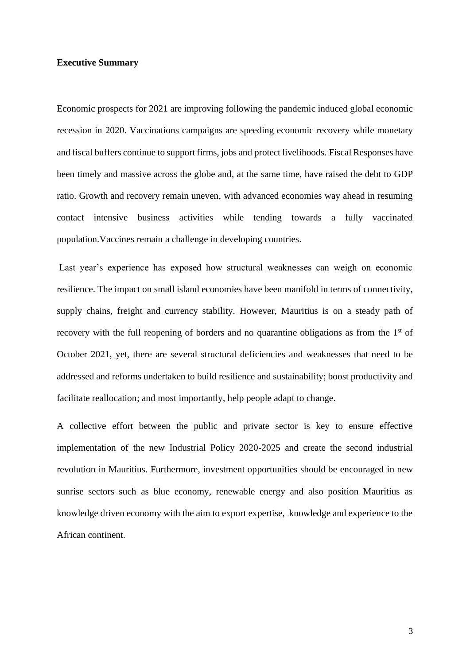### **Executive Summary**

Economic prospects for 2021 are improving following the pandemic induced global economic recession in 2020. Vaccinations campaigns are speeding economic recovery while monetary and fiscal buffers continue to support firms, jobs and protect livelihoods. Fiscal Responses have been timely and massive across the globe and, at the same time, have raised the debt to GDP ratio. Growth and recovery remain uneven, with advanced economies way ahead in resuming contact intensive business activities while tending towards a fully vaccinated population.Vaccines remain a challenge in developing countries.

Last year's experience has exposed how structural weaknesses can weigh on economic resilience. The impact on small island economies have been manifold in terms of connectivity, supply chains, freight and currency stability. However, Mauritius is on a steady path of recovery with the full reopening of borders and no quarantine obligations as from the 1<sup>st</sup> of October 2021, yet, there are several structural deficiencies and weaknesses that need to be addressed and reforms undertaken to build resilience and sustainability; boost productivity and facilitate reallocation; and most importantly, help people adapt to change.

A collective effort between the public and private sector is key to ensure effective implementation of the new Industrial Policy 2020-2025 and create the second industrial revolution in Mauritius. Furthermore, investment opportunities should be encouraged in new sunrise sectors such as blue economy, renewable energy and also position Mauritius as knowledge driven economy with the aim to export expertise, knowledge and experience to the African continent.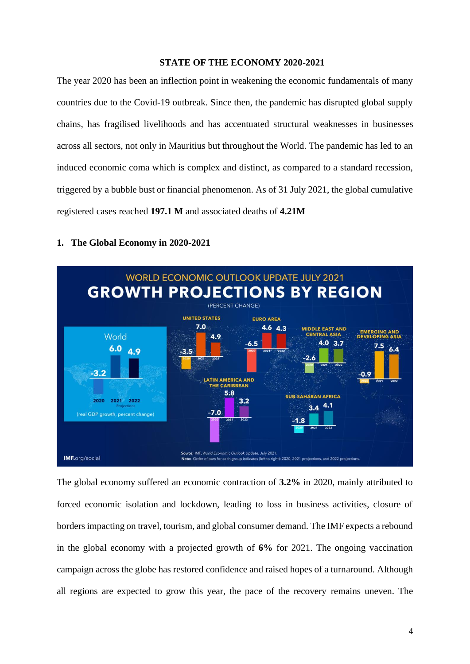#### **STATE OF THE ECONOMY 2020-2021**

The year 2020 has been an inflection point in weakening the economic fundamentals of many countries due to the Covid-19 outbreak. Since then, the pandemic has disrupted global supply chains, has fragilised livelihoods and has accentuated structural weaknesses in businesses across all sectors, not only in Mauritius but throughout the World. The pandemic has led to an induced economic coma which is complex and distinct, as compared to a standard recession, triggered by a bubble bust or financial phenomenon. As of 31 July 2021, the global cumulative registered cases reached **197.1 M** and associated deaths of **4.21M**

### <span id="page-3-0"></span>**1. The Global Economy in 2020-2021**



The global economy suffered an economic contraction of **3.2%** in 2020, mainly attributed to forced economic isolation and lockdown, leading to loss in business activities, closure of borders impacting on travel, tourism, and global consumer demand. The IMF expects a rebound in the global economy with a projected growth of **6%** for 2021. The ongoing vaccination campaign across the globe has restored confidence and raised hopes of a turnaround. Although all regions are expected to grow this year, the pace of the recovery remains uneven. The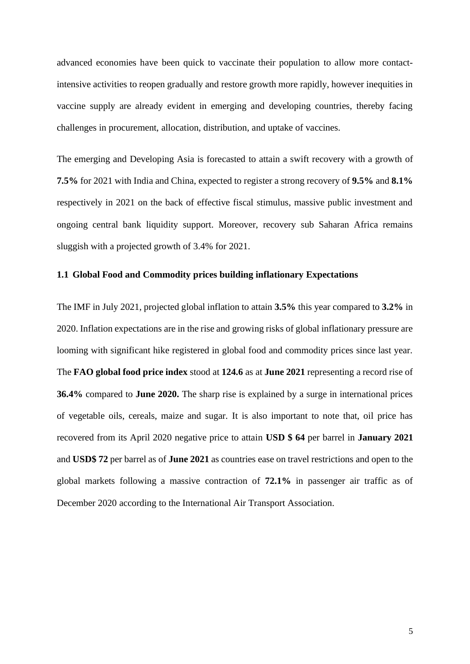advanced economies have been quick to vaccinate their population to allow more contactintensive activities to reopen gradually and restore growth more rapidly, however inequities in vaccine supply are already evident in emerging and developing countries, thereby facing challenges in procurement, allocation, distribution, and uptake of vaccines.

The emerging and Developing Asia is forecasted to attain a swift recovery with a growth of **7.5%** for 2021 with India and China, expected to register a strong recovery of **9.5%** and **8.1%** respectively in 2021 on the back of effective fiscal stimulus, massive public investment and ongoing central bank liquidity support. Moreover, recovery sub Saharan Africa remains sluggish with a projected growth of 3.4% for 2021.

# <span id="page-4-0"></span>**1.1 Global Food and Commodity prices building inflationary Expectations**

The IMF in July 2021, projected global inflation to attain **3.5%** this year compared to **3.2%** in 2020. Inflation expectations are in the rise and growing risks of global inflationary pressure are looming with significant hike registered in global food and commodity prices since last year. The **FAO global food price index** stood at **124.6** as at **June 2021** representing a record rise of **36.4%** compared to **June 2020.** The sharp rise is explained by a surge in international prices of vegetable oils, cereals, maize and sugar. It is also important to note that, oil price has recovered from its April 2020 negative price to attain **USD \$ 64** per barrel in **January 2021** and **USD\$ 72** per barrel as of **June 2021** as countries ease on travel restrictions and open to the global markets following a massive contraction of **72.1%** in passenger air traffic as of December 2020 according to the International Air Transport Association.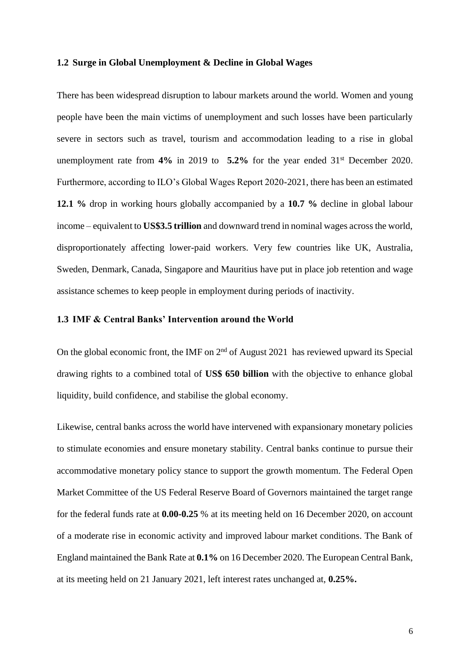#### <span id="page-5-0"></span>**1.2 Surge in Global Unemployment & Decline in Global Wages**

There has been widespread disruption to labour markets around the world. Women and young people have been the main victims of unemployment and such losses have been particularly severe in sectors such as travel, tourism and accommodation leading to a rise in global unemployment rate from **4%** in 2019 to **5.2%** for the year ended 31st December 2020. Furthermore, according to ILO's Global Wages Report 2020-2021, there has been an estimated **12.1 %** drop in working hours globally accompanied by a **10.7 %** decline in global labour income – equivalent to **US\$3.5 trillion** and downward trend in nominal wages across the world, disproportionately affecting lower-paid workers. Very few countries like UK, Australia, Sweden, Denmark, Canada, Singapore and Mauritius have put in place job retention and wage assistance schemes to keep people in employment during periods of inactivity.

# <span id="page-5-1"></span>**1.3 IMF & Central Banks' Intervention around the World**

On the global economic front, the IMF on 2<sup>nd</sup> of August 2021 has reviewed upward its Special drawing rights to a combined total of **US\$ 650 billion** with the objective to enhance global liquidity, build confidence, and stabilise the global economy.

Likewise, central banks across the world have intervened with expansionary monetary policies to stimulate economies and ensure monetary stability. Central banks continue to pursue their accommodative monetary policy stance to support the growth momentum. The Federal Open Market Committee of the US Federal Reserve Board of Governors maintained the target range for the federal funds rate at **0.00-0.25** % at its meeting held on 16 December 2020, on account of a moderate rise in economic activity and improved labour market conditions. The Bank of England maintained the Bank Rate at **0.1%** on 16 December 2020. The European Central Bank, at its meeting held on 21 January 2021, left interest rates unchanged at, **0.25%.**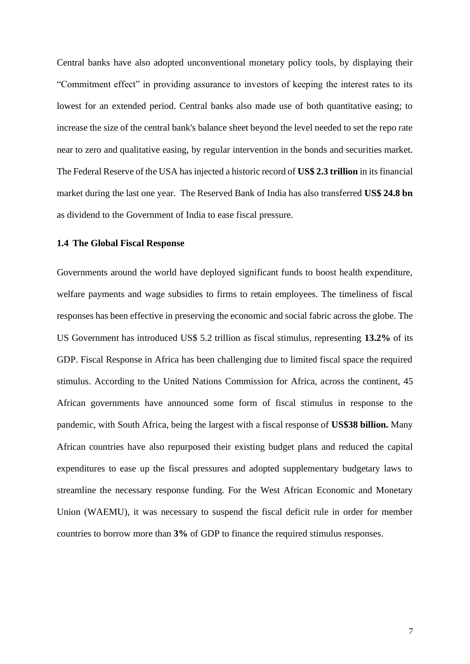Central banks have also adopted unconventional monetary policy tools, by displaying their "Commitment effect" in providing assurance to investors of keeping the interest rates to its lowest for an extended period. Central banks also made use of both quantitative easing; to increase the size of the central bank's balance sheet beyond the level needed to set the repo rate near to zero and qualitative easing, by regular intervention in the bonds and securities market. The Federal Reserve of the USA has injected a historic record of **US\$ 2.3 trillion** in its financial market during the last one year. The Reserved Bank of India has also transferred **US\$ 24.8 bn**  as dividend to the Government of India to ease fiscal pressure.

#### <span id="page-6-0"></span>**1.4 The Global Fiscal Response**

Governments around the world have deployed significant funds to boost health expenditure, welfare payments and wage subsidies to firms to retain employees. The timeliness of fiscal responses has been effective in preserving the economic and social fabric across the globe. The US Government has introduced US\$ 5.2 trillion as fiscal stimulus, representing **13.2%** of its GDP. Fiscal Response in Africa has been challenging due to limited fiscal space the required stimulus. According to the United Nations Commission for Africa, across the continent, 45 African governments have announced some form of fiscal stimulus in response to the pandemic, with South Africa, being the largest with a fiscal response of **US\$38 billion.** Many African countries have also repurposed their existing budget plans and reduced the capital expenditures to ease up the fiscal pressures and adopted supplementary budgetary laws to streamline the necessary response funding. For the West African Economic and Monetary Union (WAEMU), it was necessary to suspend the fiscal deficit rule in order for member countries to borrow more than **3%** of GDP to finance the required stimulus responses.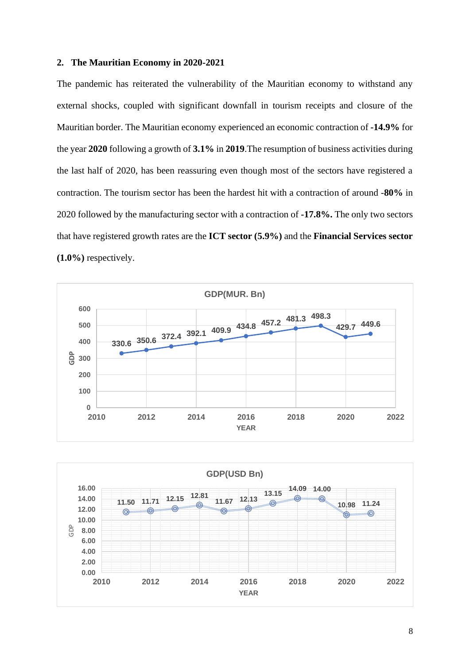#### <span id="page-7-0"></span>**2. The Mauritian Economy in 2020-2021**

The pandemic has reiterated the vulnerability of the Mauritian economy to withstand any external shocks, coupled with significant downfall in tourism receipts and closure of the Mauritian border. The Mauritian economy experienced an economic contraction of **-14.9%** for the year **2020** following a growth of **3.1%** in **2019**.The resumption of business activities during the last half of 2020, has been reassuring even though most of the sectors have registered a contraction. The tourism sector has been the hardest hit with a contraction of around -**80%** in 2020 followed by the manufacturing sector with a contraction of **-17.8%.** The only two sectors that have registered growth rates are the **ICT sector (5.9%)** and the **Financial Services sector (1.0%)** respectively.



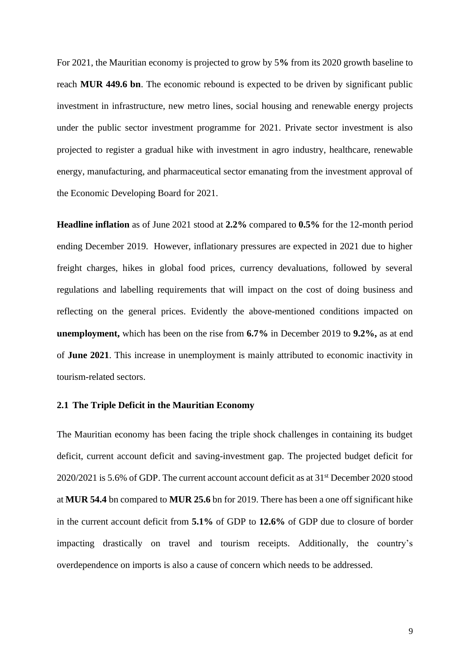For 2021, the Mauritian economy is projected to grow by 5**%** from its 2020 growth baseline to reach **MUR 449.6 bn**. The economic rebound is expected to be driven by significant public investment in infrastructure, new metro lines, social housing and renewable energy projects under the public sector investment programme for 2021. Private sector investment is also projected to register a gradual hike with investment in agro industry, healthcare, renewable energy, manufacturing, and pharmaceutical sector emanating from the investment approval of the Economic Developing Board for 2021.

**Headline inflation** as of June 2021 stood at **2.2%** compared to **0.5%** for the 12-month period ending December 2019. However, inflationary pressures are expected in 2021 due to higher freight charges, hikes in global food prices, currency devaluations, followed by several regulations and labelling requirements that will impact on the cost of doing business and reflecting on the general prices. Evidently the above-mentioned conditions impacted on **unemployment,** which has been on the rise from **6.7%** in December 2019 to **9.2%,** as at end of **June 2021**. This increase in unemployment is mainly attributed to economic inactivity in tourism-related sectors.

### <span id="page-8-0"></span>**2.1 The Triple Deficit in the Mauritian Economy**

The Mauritian economy has been facing the triple shock challenges in containing its budget deficit, current account deficit and saving-investment gap. The projected budget deficit for  $2020/2021$  is 5.6% of GDP. The current account account deficit as at  $31<sup>st</sup>$  December 2020 stood at **MUR 54.4** bn compared to **MUR 25.6** bn for 2019. There has been a one off significant hike in the current account deficit from **5.1%** of GDP to **12.6%** of GDP due to closure of border impacting drastically on travel and tourism receipts. Additionally, the country's overdependence on imports is also a cause of concern which needs to be addressed.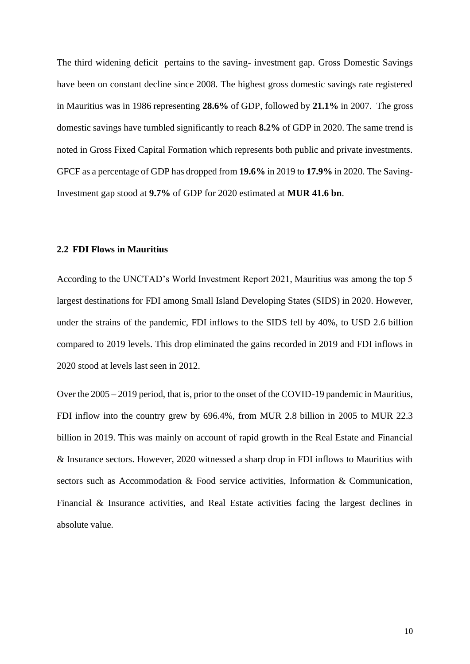The third widening deficit pertains to the saving- investment gap. Gross Domestic Savings have been on constant decline since 2008. The highest gross domestic savings rate registered in Mauritius was in 1986 representing **28.6%** of GDP, followed by **21.1%** in 2007. The gross domestic savings have tumbled significantly to reach **8.2%** of GDP in 2020. The same trend is noted in Gross Fixed Capital Formation which represents both public and private investments. GFCF as a percentage of GDP has dropped from **19.6%** in 2019 to **17.9%** in 2020. The Saving-Investment gap stood at **9.7%** of GDP for 2020 estimated at **MUR 41.6 bn**.

# <span id="page-9-0"></span>**2.2 FDI Flows in Mauritius**

According to the UNCTAD's World Investment Report 2021, Mauritius was among the top 5 largest destinations for FDI among Small Island Developing States (SIDS) in 2020. However, under the strains of the pandemic, FDI inflows to the SIDS fell by 40%, to USD 2.6 billion compared to 2019 levels. This drop eliminated the gains recorded in 2019 and FDI inflows in 2020 stood at levels last seen in 2012.

Over the 2005 – 2019 period, that is, prior to the onset of the COVID-19 pandemic in Mauritius, FDI inflow into the country grew by 696.4%, from MUR 2.8 billion in 2005 to MUR 22.3 billion in 2019. This was mainly on account of rapid growth in the Real Estate and Financial & Insurance sectors. However, 2020 witnessed a sharp drop in FDI inflows to Mauritius with sectors such as Accommodation & Food service activities, Information & Communication, Financial & Insurance activities, and Real Estate activities facing the largest declines in absolute value.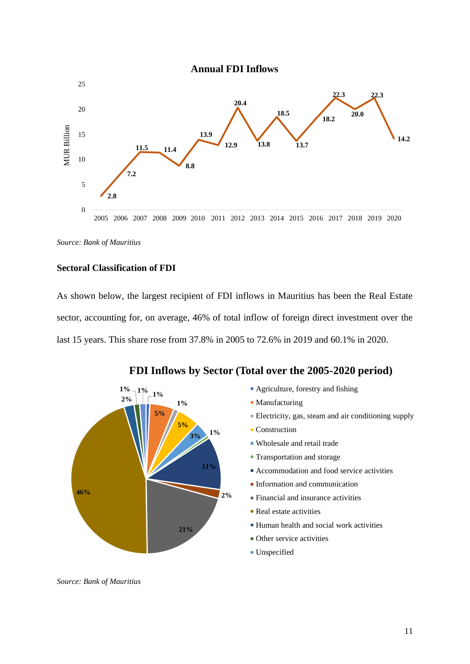

*Source: Bank of Mauritius*

# **Sectoral Classification of FDI**

As shown below, the largest recipient of FDI inflows in Mauritius has been the Real Estate sector, accounting for, on average, 46% of total inflow of foreign direct investment over the last 15 years. This share rose from 37.8% in 2005 to 72.6% in 2019 and 60.1% in 2020.



**FDI Inflows by Sector (Total over the 2005-2020 period)**

- **Agriculture, forestry and fishing**
- **Manufacturing**
- Electricity, gas, steam and air conditioning supply
- Construction
- Wholesale and retail trade
- **Transportation and storage**
- Accommodation and food service activities
- **Information and communication**
- Financial and insurance activities
- Real estate activities
- Human health and social work activities
- **Other service activities**
- Unspecified

*Source: Bank of Mauritius*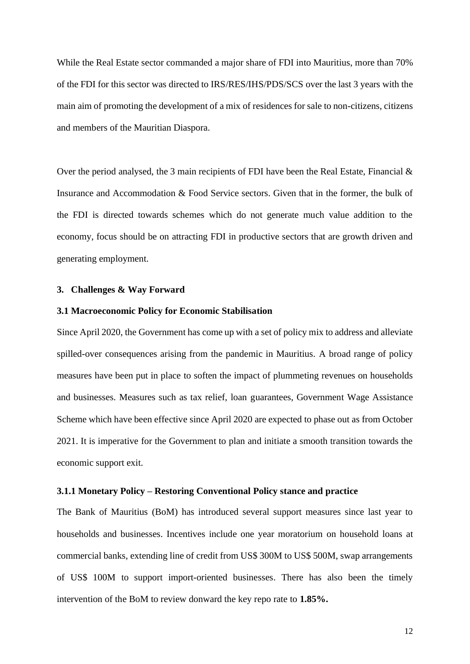While the Real Estate sector commanded a major share of FDI into Mauritius, more than 70% of the FDI for this sector was directed to IRS/RES/IHS/PDS/SCS over the last 3 years with the main aim of promoting the development of a mix of residences for sale to non-citizens, citizens and members of the Mauritian Diaspora.

Over the period analysed, the 3 main recipients of FDI have been the Real Estate, Financial  $\&$ Insurance and Accommodation & Food Service sectors. Given that in the former, the bulk of the FDI is directed towards schemes which do not generate much value addition to the economy, focus should be on attracting FDI in productive sectors that are growth driven and generating employment.

### <span id="page-11-0"></span>**3. Challenges & Way Forward**

#### <span id="page-11-1"></span>**3.1 Macroeconomic Policy for Economic Stabilisation**

Since April 2020, the Government has come up with a set of policy mix to address and alleviate spilled-over consequences arising from the pandemic in Mauritius. A broad range of policy measures have been put in place to soften the impact of plummeting revenues on households and businesses. Measures such as tax relief, loan guarantees, Government Wage Assistance Scheme which have been effective since April 2020 are expected to phase out as from October 2021. It is imperative for the Government to plan and initiate a smooth transition towards the economic support exit.

### <span id="page-11-2"></span>**3.1.1 Monetary Policy – Restoring Conventional Policy stance and practice**

The Bank of Mauritius (BoM) has introduced several support measures since last year to households and businesses. Incentives include one year moratorium on household loans at commercial banks, extending line of credit from US\$ 300M to US\$ 500M, swap arrangements of US\$ 100M to support import-oriented businesses. There has also been the timely intervention of the BoM to review donward the key repo rate to **1.85%.**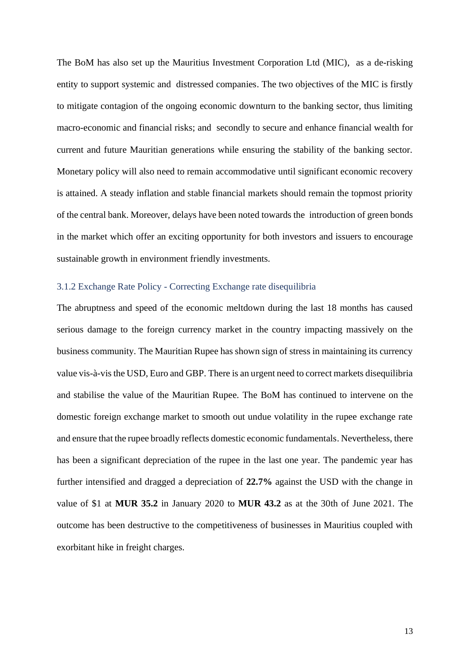The BoM has also set up the Mauritius Investment Corporation Ltd (MIC), as a de-risking entity to support systemic and distressed companies. The two objectives of the MIC is firstly to mitigate contagion of the ongoing economic downturn to the banking sector, thus limiting macro-economic and financial risks; and secondly to secure and enhance financial wealth for current and future Mauritian generations while ensuring the stability of the banking sector. Monetary policy will also need to remain accommodative until significant economic recovery is attained. A steady inflation and stable financial markets should remain the topmost priority of the central bank. Moreover, delays have been noted towards the introduction of green bonds in the market which offer an exciting opportunity for both investors and issuers to encourage sustainable growth in environment friendly investments.

### <span id="page-12-0"></span>3.1.2 Exchange Rate Policy - Correcting Exchange rate disequilibria

The abruptness and speed of the economic meltdown during the last 18 months has caused serious damage to the foreign currency market in the country impacting massively on the business community. The Mauritian Rupee has shown sign of stress in maintaining its currency value vis-à-vis the USD, Euro and GBP. There is an urgent need to correct markets disequilibria and stabilise the value of the Mauritian Rupee. The BoM has continued to intervene on the domestic foreign exchange market to smooth out undue volatility in the rupee exchange rate and ensure that the rupee broadly reflects domestic economic fundamentals. Nevertheless, there has been a significant depreciation of the rupee in the last one year. The pandemic year has further intensified and dragged a depreciation of **22.7%** against the USD with the change in value of \$1 at **MUR 35.2** in January 2020 to **MUR 43.2** as at the 30th of June 2021. The outcome has been destructive to the competitiveness of businesses in Mauritius coupled with exorbitant hike in freight charges.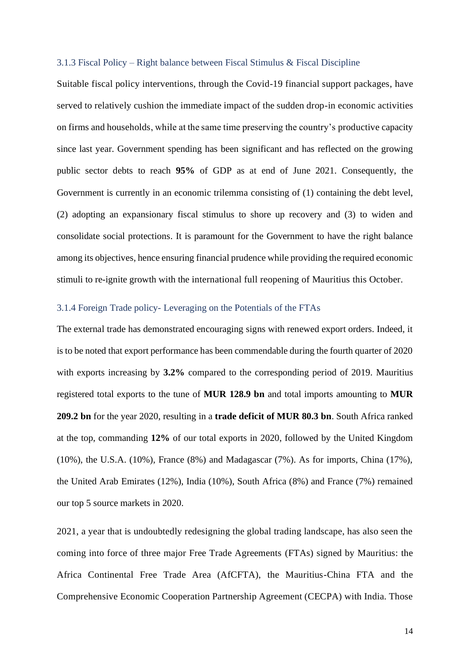#### <span id="page-13-0"></span>3.1.3 Fiscal Policy – Right balance between Fiscal Stimulus & Fiscal Discipline

Suitable fiscal policy interventions, through the Covid-19 financial support packages, have served to relatively cushion the immediate impact of the sudden drop-in economic activities on firms and households, while at the same time preserving the country's productive capacity since last year. Government spending has been significant and has reflected on the growing public sector debts to reach **95%** of GDP as at end of June 2021. Consequently, the Government is currently in an economic trilemma consisting of (1) containing the debt level, (2) adopting an expansionary fiscal stimulus to shore up recovery and (3) to widen and consolidate social protections. It is paramount for the Government to have the right balance among its objectives, hence ensuring financial prudence while providing the required economic stimuli to re-ignite growth with the international full reopening of Mauritius this October.

# <span id="page-13-1"></span>3.1.4 Foreign Trade policy- Leveraging on the Potentials of the FTAs

The external trade has demonstrated encouraging signs with renewed export orders. Indeed, it is to be noted that export performance has been commendable during the fourth quarter of 2020 with exports increasing by **3.2%** compared to the corresponding period of 2019. Mauritius registered total exports to the tune of **MUR 128.9 bn** and total imports amounting to **MUR 209.2 bn** for the year 2020, resulting in a **trade deficit of MUR 80.3 bn**. South Africa ranked at the top, commanding **12%** of our total exports in 2020, followed by the United Kingdom (10%), the U.S.A. (10%), France (8%) and Madagascar (7%). As for imports, China (17%), the United Arab Emirates (12%), India (10%), South Africa (8%) and France (7%) remained our top 5 source markets in 2020.

2021, a year that is undoubtedly redesigning the global trading landscape, has also seen the coming into force of three major Free Trade Agreements (FTAs) signed by Mauritius: the Africa Continental Free Trade Area (AfCFTA), the Mauritius-China FTA and the Comprehensive Economic Cooperation Partnership Agreement (CECPA) with India. Those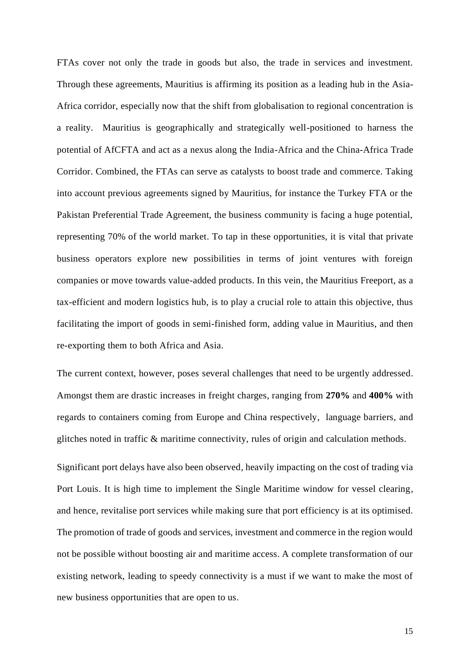FTAs cover not only the trade in goods but also, the trade in services and investment. Through these agreements, Mauritius is affirming its position as a leading hub in the Asia-Africa corridor, especially now that the shift from globalisation to regional concentration is a reality. Mauritius is geographically and strategically well-positioned to harness the potential of AfCFTA and act as a nexus along the India-Africa and the China-Africa Trade Corridor. Combined, the FTAs can serve as catalysts to boost trade and commerce. Taking into account previous agreements signed by Mauritius, for instance the Turkey FTA or the Pakistan Preferential Trade Agreement, the business community is facing a huge potential, representing 70% of the world market. To tap in these opportunities, it is vital that private business operators explore new possibilities in terms of joint ventures with foreign companies or move towards value-added products. In this vein, the Mauritius Freeport, as a tax-efficient and modern logistics hub, is to play a crucial role to attain this objective, thus facilitating the import of goods in semi-finished form, adding value in Mauritius, and then re-exporting them to both Africa and Asia.

The current context, however, poses several challenges that need to be urgently addressed. Amongst them are drastic increases in freight charges, ranging from **270%** and **400%** with regards to containers coming from Europe and China respectively, language barriers, and glitches noted in traffic & maritime connectivity, rules of origin and calculation methods.

Significant port delays have also been observed, heavily impacting on the cost of trading via Port Louis. It is high time to implement the Single Maritime window for vessel clearing, and hence, revitalise port services while making sure that port efficiency is at its optimised. The promotion of trade of goods and services, investment and commerce in the region would not be possible without boosting air and maritime access. A complete transformation of our existing network, leading to speedy connectivity is a must if we want to make the most of new business opportunities that are open to us.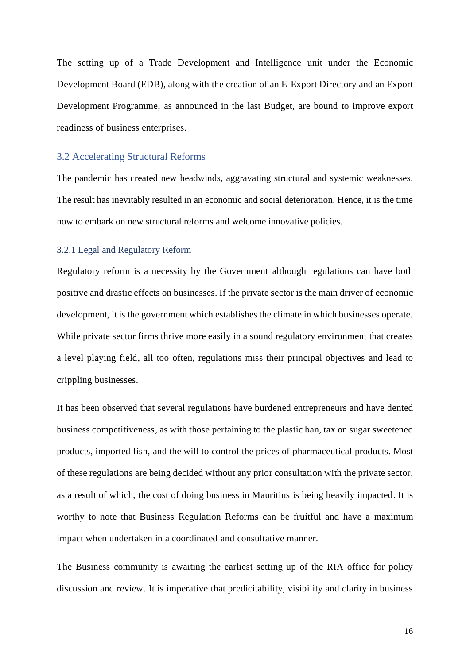The setting up of a Trade Development and Intelligence unit under the Economic Development Board (EDB), along with the creation of an E-Export Directory and an Export Development Programme, as announced in the last Budget, are bound to improve export readiness of business enterprises.

### <span id="page-15-0"></span>3.2 Accelerating Structural Reforms

The pandemic has created new headwinds, aggravating structural and systemic weaknesses. The result has inevitably resulted in an economic and social deterioration. Hence, it is the time now to embark on new structural reforms and welcome innovative policies.

## <span id="page-15-1"></span>3.2.1 Legal and Regulatory Reform

Regulatory reform is a necessity by the Government although regulations can have both positive and drastic effects on businesses. If the private sector is the main driver of economic development, it is the government which establishes the climate in which businesses operate. While private sector firms thrive more easily in a sound regulatory environment that creates a level playing field, all too often, regulations miss their principal objectives and lead to crippling businesses.

It has been observed that several regulations have burdened entrepreneurs and have dented business competitiveness, as with those pertaining to the plastic ban, tax on sugar sweetened products, imported fish, and the will to control the prices of pharmaceutical products. Most of these regulations are being decided without any prior consultation with the private sector, as a result of which, the cost of doing business in Mauritius is being heavily impacted. It is worthy to note that Business Regulation Reforms can be fruitful and have a maximum impact when undertaken in a coordinated and consultative manner.

The Business community is awaiting the earliest setting up of the RIA office for policy discussion and review. It is imperative that predicitability, visibility and clarity in business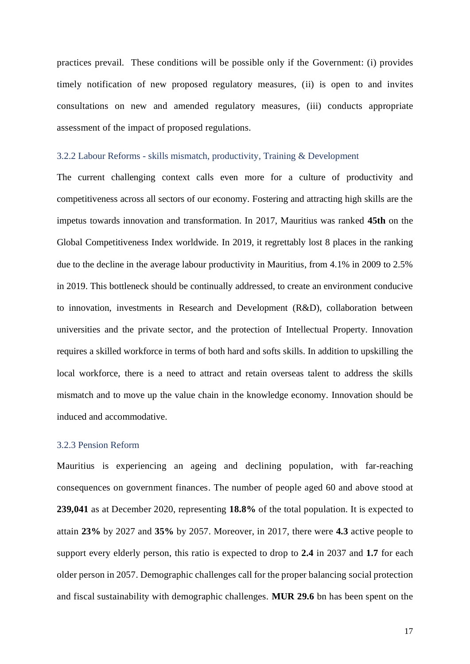practices prevail. These conditions will be possible only if the Government: (i) provides timely notification of new proposed regulatory measures, (ii) is open to and invites consultations on new and amended regulatory measures, (iii) conducts appropriate assessment of the impact of proposed regulations.

#### <span id="page-16-0"></span>3.2.2 Labour Reforms - skills mismatch, productivity, Training & Development

The current challenging context calls even more for a culture of productivity and competitiveness across all sectors of our economy. Fostering and attracting high skills are the impetus towards innovation and transformation. In 2017, Mauritius was ranked **45th** on the Global Competitiveness Index worldwide. In 2019, it regrettably lost 8 places in the ranking due to the decline in the average labour productivity in Mauritius, from 4.1% in 2009 to 2.5% in 2019. This bottleneck should be continually addressed, to create an environment conducive to innovation, investments in Research and Development (R&D), collaboration between universities and the private sector, and the protection of Intellectual Property. Innovation requires a skilled workforce in terms of both hard and softs skills. In addition to upskilling the local workforce, there is a need to attract and retain overseas talent to address the skills mismatch and to move up the value chain in the knowledge economy. Innovation should be induced and accommodative.

### <span id="page-16-1"></span>3.2.3 Pension Reform

Mauritius is experiencing an ageing and declining population, with far-reaching consequences on government finances. The number of people aged 60 and above stood at **239,041** as at December 2020, representing **18.8%** of the total population. It is expected to attain **23%** by 2027 and **35%** by 2057. Moreover, in 2017, there were **4.3** active people to support every elderly person, this ratio is expected to drop to **2.4** in 2037 and **1.7** for each older person in 2057. Demographic challenges call for the proper balancing social protection and fiscal sustainability with demographic challenges. **MUR 29.6** bn has been spent on the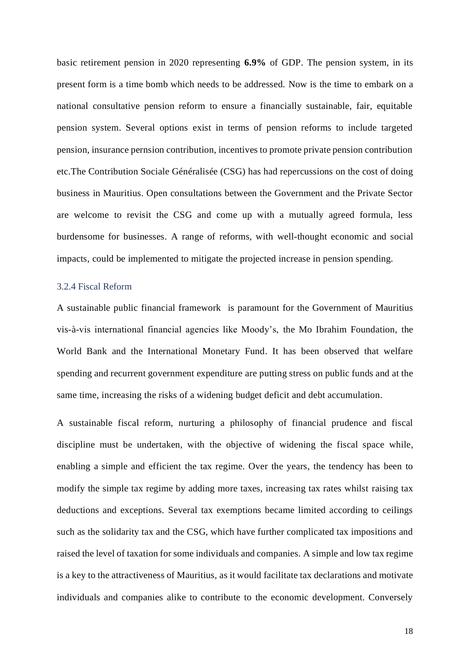basic retirement pension in 2020 representing **6.9%** of GDP. The pension system, in its present form is a time bomb which needs to be addressed. Now is the time to embark on a national consultative pension reform to ensure a financially sustainable, fair, equitable pension system. Several options exist in terms of pension reforms to include targeted pension, insurance pernsion contribution, incentives to promote private pension contribution etc.The Contribution Sociale Généralisée (CSG) has had repercussions on the cost of doing business in Mauritius. Open consultations between the Government and the Private Sector are welcome to revisit the CSG and come up with a mutually agreed formula, less burdensome for businesses. A range of reforms, with well-thought economic and social impacts, could be implemented to mitigate the projected increase in pension spending.

#### <span id="page-17-0"></span>3.2.4 Fiscal Reform

A sustainable public financial framework is paramount for the Government of Mauritius vis-à-vis international financial agencies like Moody's, the Mo Ibrahim Foundation, the World Bank and the International Monetary Fund. It has been observed that welfare spending and recurrent government expenditure are putting stress on public funds and at the same time, increasing the risks of a widening budget deficit and debt accumulation.

A sustainable fiscal reform, nurturing a philosophy of financial prudence and fiscal discipline must be undertaken, with the objective of widening the fiscal space while, enabling a simple and efficient the tax regime. Over the years, the tendency has been to modify the simple tax regime by adding more taxes, increasing tax rates whilst raising tax deductions and exceptions. Several tax exemptions became limited according to ceilings such as the solidarity tax and the CSG, which have further complicated tax impositions and raised the level of taxation for some individuals and companies. A simple and low tax regime is a key to the attractiveness of Mauritius, as it would facilitate tax declarations and motivate individuals and companies alike to contribute to the economic development. Conversely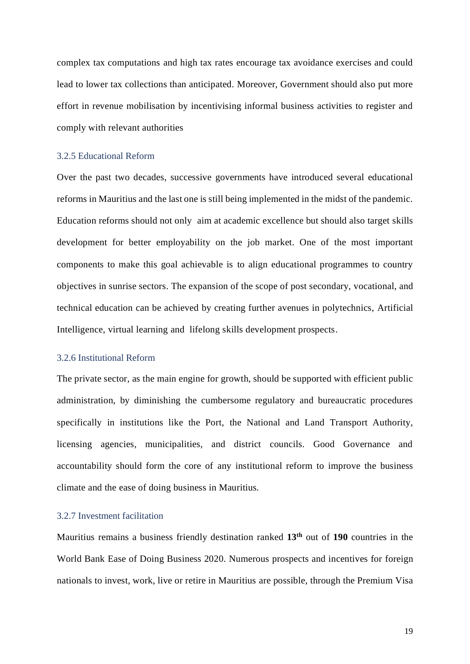complex tax computations and high tax rates encourage tax avoidance exercises and could lead to lower tax collections than anticipated. Moreover, Government should also put more effort in revenue mobilisation by incentivising informal business activities to register and comply with relevant authorities

#### <span id="page-18-0"></span>3.2.5 Educational Reform

Over the past two decades, successive governments have introduced several educational reforms in Mauritius and the last one is still being implemented in the midst of the pandemic. Education reforms should not only aim at academic excellence but should also target skills development for better employability on the job market. One of the most important components to make this goal achievable is to align educational programmes to country objectives in sunrise sectors. The expansion of the scope of post secondary, vocational, and technical education can be achieved by creating further avenues in polytechnics, Artificial Intelligence, virtual learning and lifelong skills development prospects.

### <span id="page-18-1"></span>3.2.6 Institutional Reform

The private sector, as the main engine for growth, should be supported with efficient public administration, by diminishing the cumbersome regulatory and bureaucratic procedures specifically in institutions like the Port, the National and Land Transport Authority, licensing agencies, municipalities, and district councils. Good Governance and accountability should form the core of any institutional reform to improve the business climate and the ease of doing business in Mauritius.

# <span id="page-18-2"></span>3.2.7 Investment facilitation

Mauritius remains a business friendly destination ranked **13th** out of **190** countries in the World Bank Ease of Doing Business 2020. Numerous prospects and incentives for foreign nationals to invest, work, live or retire in Mauritius are possible, through the Premium Visa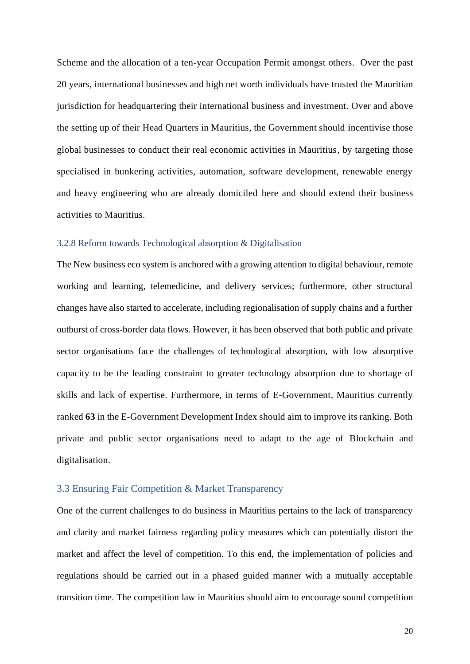Scheme and the allocation of a ten-year Occupation Permit amongst others. Over the past 20 years, international businesses and high net worth individuals have trusted the Mauritian jurisdiction for headquartering their international business and investment. Over and above the setting up of their Head Quarters in Mauritius, the Government should incentivise those global businesses to conduct their real economic activities in Mauritius, by targeting those specialised in bunkering activities, automation, software development, renewable energy and heavy engineering who are already domiciled here and should extend their business activities to Mauritius.

### <span id="page-19-0"></span>3.2.8 Reform towards Technological absorption & Digitalisation

The New business eco system is anchored with a growing attention to digital behaviour, remote working and learning, telemedicine, and delivery services; furthermore, other structural changes have also started to accelerate, including regionalisation of supply chains and a further outburst of cross-border data flows. However, it has been observed that both public and private sector organisations face the challenges of technological absorption, with low absorptive capacity to be the leading constraint to greater technology absorption due to shortage of skills and lack of expertise. Furthermore, in terms of E-Government, Mauritius currently ranked **63** in the E-Government Development Index should aim to improve its ranking. Both private and public sector organisations need to adapt to the age of Blockchain and digitalisation.

#### <span id="page-19-1"></span>3.3 Ensuring Fair Competition & Market Transparency

One of the current challenges to do business in Mauritius pertains to the lack of transparency and clarity and market fairness regarding policy measures which can potentially distort the market and affect the level of competition. To this end, the implementation of policies and regulations should be carried out in a phased guided manner with a mutually acceptable transition time. The competition law in Mauritius should aim to encourage sound competition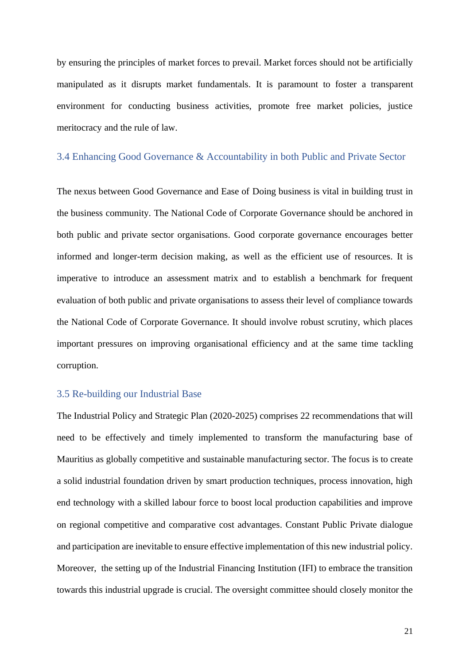by ensuring the principles of market forces to prevail. Market forces should not be artificially manipulated as it disrupts market fundamentals. It is paramount to foster a transparent environment for conducting business activities, promote free market policies, justice meritocracy and the rule of law.

#### <span id="page-20-0"></span>3.4 Enhancing Good Governance & Accountability in both Public and Private Sector

The nexus between Good Governance and Ease of Doing business is vital in building trust in the business community. The National Code of Corporate Governance should be anchored in both public and private sector organisations. Good corporate governance encourages better informed and longer-term decision making, as well as the efficient use of resources. It is imperative to introduce an assessment matrix and to establish a benchmark for frequent evaluation of both public and private organisations to assess their level of compliance towards the National Code of Corporate Governance. It should involve robust scrutiny, which places important pressures on improving organisational efficiency and at the same time tackling corruption.

# <span id="page-20-1"></span>3.5 Re-building our Industrial Base

The Industrial Policy and Strategic Plan (2020-2025) comprises 22 recommendations that will need to be effectively and timely implemented to transform the manufacturing base of Mauritius as globally competitive and sustainable manufacturing sector. The focus is to create a solid industrial foundation driven by smart production techniques, process innovation, high end technology with a skilled labour force to boost local production capabilities and improve on regional competitive and comparative cost advantages. Constant Public Private dialogue and participation are inevitable to ensure effective implementation of this new industrial policy. Moreover, the setting up of the Industrial Financing Institution (IFI) to embrace the transition towards this industrial upgrade is crucial. The oversight committee should closely monitor the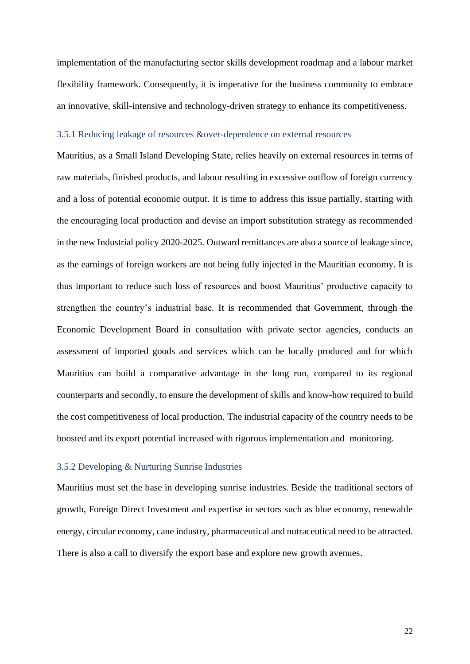implementation of the manufacturing sector skills development roadmap and a labour market flexibility framework. Consequently, it is imperative for the business community to embrace an innovative, skill-intensive and technology-driven strategy to enhance its competitiveness.

# <span id="page-21-0"></span>3.5.1 Reducing leakage of resources &over-dependence on external resources

Mauritius, as a Small Island Developing State, relies heavily on external resources in terms of raw materials, finished products, and labour resulting in excessive outflow of foreign currency and a loss of potential economic output. It is time to address this issue partially, starting with the encouraging local production and devise an import substitution strategy as recommended in the new Industrial policy 2020-2025. Outward remittances are also a source of leakage since, as the earnings of foreign workers are not being fully injected in the Mauritian economy. It is thus important to reduce such loss of resources and boost Mauritius' productive capacity to strengthen the country's industrial base. It is recommended that Government, through the Economic Development Board in consultation with private sector agencies, conducts an assessment of imported goods and services which can be locally produced and for which Mauritius can build a comparative advantage in the long run, compared to its regional counterparts and secondly, to ensure the development of skills and know-how required to build the cost competitiveness of local production. The industrial capacity of the country needs to be boosted and its export potential increased with rigorous implementation and monitoring.

### <span id="page-21-1"></span>3.5.2 Developing & Nurturing Sunrise Industries

Mauritius must set the base in developing sunrise industries. Beside the traditional sectors of growth, Foreign Direct Investment and expertise in sectors such as blue economy, renewable energy, circular economy, cane industry, pharmaceutical and nutraceutical need to be attracted. There is also a call to diversify the export base and explore new growth avenues.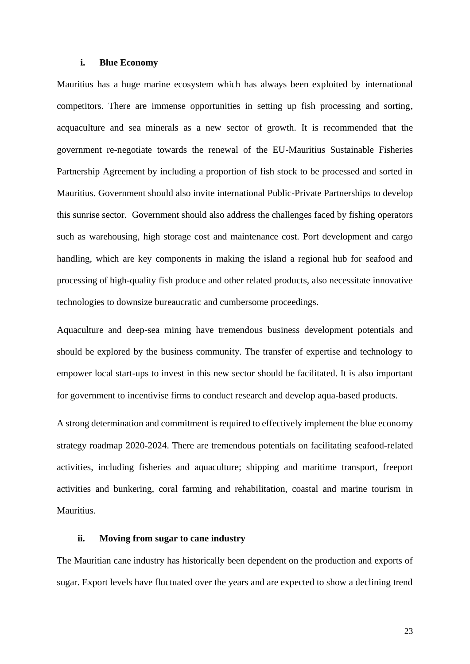#### **i. Blue Economy**

Mauritius has a huge marine ecosystem which has always been exploited by international competitors. There are immense opportunities in setting up fish processing and sorting, acquaculture and sea minerals as a new sector of growth. It is recommended that the government re-negotiate towards the renewal of the EU-Mauritius Sustainable Fisheries Partnership Agreement by including a proportion of fish stock to be processed and sorted in Mauritius. Government should also invite international Public-Private Partnerships to develop this sunrise sector. Government should also address the challenges faced by fishing operators such as warehousing, high storage cost and maintenance cost. Port development and cargo handling, which are key components in making the island a regional hub for seafood and processing of high-quality fish produce and other related products, also necessitate innovative technologies to downsize bureaucratic and cumbersome proceedings.

Aquaculture and deep-sea mining have tremendous business development potentials and should be explored by the business community. The transfer of expertise and technology to empower local start-ups to invest in this new sector should be facilitated. It is also important for government to incentivise firms to conduct research and develop aqua-based products.

A strong determination and commitment is required to effectively implement the blue economy strategy roadmap 2020-2024. There are tremendous potentials on facilitating seafood-related activities, including fisheries and aquaculture; shipping and maritime transport, freeport activities and bunkering, coral farming and rehabilitation, coastal and marine tourism in Mauritius.

# **ii. Moving from sugar to cane industry**

The Mauritian cane industry has historically been dependent on the production and exports of sugar. Export levels have fluctuated over the years and are expected to show a declining trend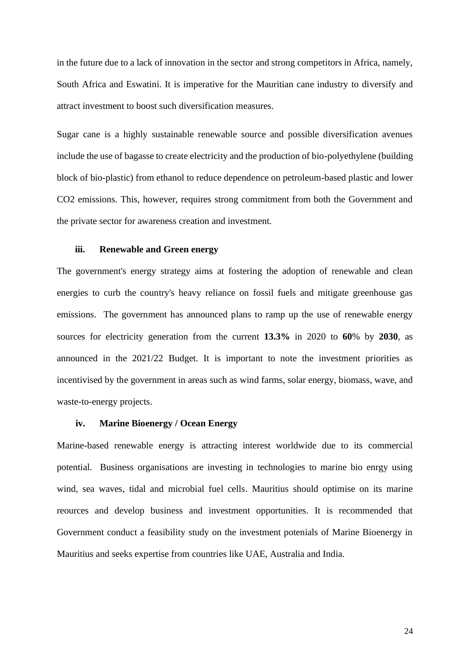in the future due to a lack of innovation in the sector and strong competitors in Africa, namely, South Africa and Eswatini. It is imperative for the Mauritian cane industry to diversify and attract investment to boost such diversification measures.

Sugar cane is a highly sustainable renewable source and possible diversification avenues include the use of bagasse to create electricity and the production of bio-polyethylene (building block of bio-plastic) from ethanol to reduce dependence on petroleum-based plastic and lower CO2 emissions. This, however, requires strong commitment from both the Government and the private sector for awareness creation and investment.

#### **iii. Renewable and Green energy**

The government's energy strategy aims at fostering the adoption of renewable and clean energies to curb the country's heavy reliance on fossil fuels and mitigate greenhouse gas emissions. The government has announced plans to ramp up the use of renewable energy sources for electricity generation from the current **13.3%** in 2020 to **60**% by **2030**, as announced in the 2021/22 Budget. It is important to note the investment priorities as incentivised by the government in areas such as wind farms, solar energy, biomass, wave, and waste-to-energy projects.

### **iv. Marine Bioenergy / Ocean Energy**

Marine-based renewable energy is attracting interest worldwide due to its commercial potential. Business organisations are investing in technologies to marine bio enrgy using wind, sea waves, tidal and microbial fuel cells. Mauritius should optimise on its marine reources and develop business and investment opportunities. It is recommended that Government conduct a feasibility study on the investment potenials of Marine Bioenergy in Mauritius and seeks expertise from countries like UAE, Australia and India.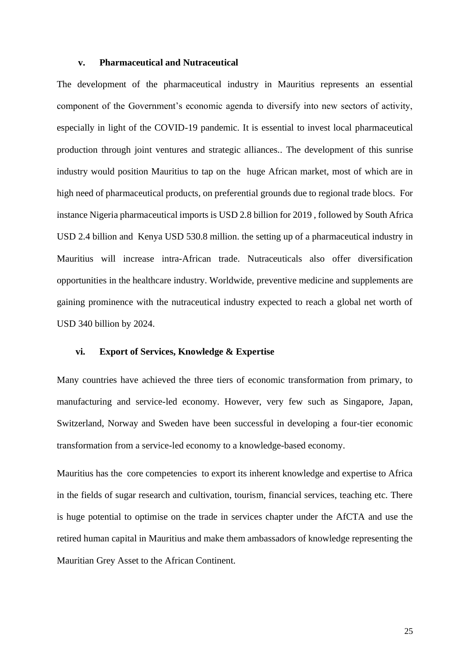#### **v. Pharmaceutical and Nutraceutical**

The development of the pharmaceutical industry in Mauritius represents an essential component of the Government's economic agenda to diversify into new sectors of activity, especially in light of the COVID-19 pandemic. It is essential to invest local pharmaceutical production through joint ventures and strategic alliances.. The development of this sunrise industry would position Mauritius to tap on the huge African market, most of which are in high need of pharmaceutical products, on preferential grounds due to regional trade blocs. For instance Nigeria pharmaceutical imports is USD 2.8 billion for 2019 , followed by South Africa USD 2.4 billion and Kenya USD 530.8 million. the setting up of a pharmaceutical industry in Mauritius will increase intra-African trade. Nutraceuticals also offer diversification opportunities in the healthcare industry. Worldwide, preventive medicine and supplements are gaining prominence with the nutraceutical industry expected to reach a global net worth of USD 340 billion by 2024.

#### **vi. Export of Services, Knowledge & Expertise**

Many countries have achieved the three tiers of economic transformation from primary, to manufacturing and service-led economy. However, very few such as Singapore, Japan, Switzerland, Norway and Sweden have been successful in developing a four-tier economic transformation from a service-led economy to a knowledge-based economy.

Mauritius has the core competencies to export its inherent knowledge and expertise to Africa in the fields of sugar research and cultivation, tourism, financial services, teaching etc. There is huge potential to optimise on the trade in services chapter under the AfCTA and use the retired human capital in Mauritius and make them ambassadors of knowledge representing the Mauritian Grey Asset to the African Continent.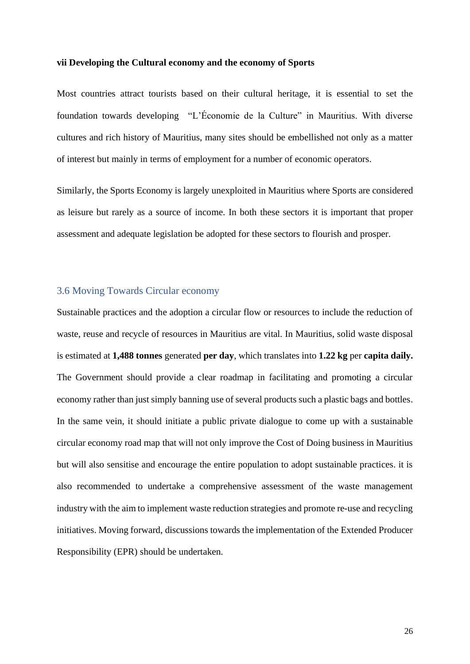#### **vii Developing the Cultural economy and the economy of Sports**

Most countries attract tourists based on their cultural heritage, it is essential to set the foundation towards developing "L'Économie de la Culture" in Mauritius. With diverse cultures and rich history of Mauritius, many sites should be embellished not only as a matter of interest but mainly in terms of employment for a number of economic operators.

Similarly, the Sports Economy is largely unexploited in Mauritius where Sports are considered as leisure but rarely as a source of income. In both these sectors it is important that proper assessment and adequate legislation be adopted for these sectors to flourish and prosper.

# <span id="page-25-0"></span>3.6 Moving Towards Circular economy

Sustainable practices and the adoption a circular flow or resources to include the reduction of waste, reuse and recycle of resources in Mauritius are vital. In Mauritius, solid waste disposal is estimated at **1,488 tonnes** generated **per day**, which translates into **1.22 kg** per **capita daily.** The Government should provide a clear roadmap in facilitating and promoting a circular economy rather than just simply banning use of several products such a plastic bags and bottles. In the same vein, it should initiate a public private dialogue to come up with a sustainable circular economy road map that will not only improve the Cost of Doing business in Mauritius but will also sensitise and encourage the entire population to adopt sustainable practices. it is also recommended to undertake a comprehensive assessment of the waste management industry with the aim to implement waste reduction strategies and promote re-use and recycling initiatives. Moving forward, discussions towards the implementation of the Extended Producer Responsibility (EPR) should be undertaken.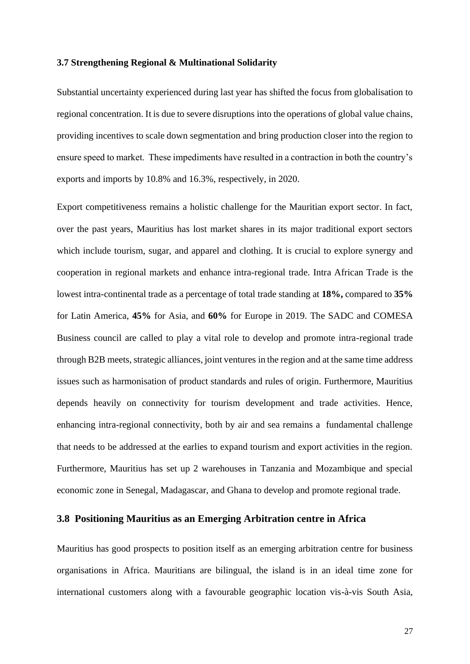#### <span id="page-26-0"></span>**3.7 Strengthening Regional & Multinational Solidarity**

Substantial uncertainty experienced during last year has shifted the focus from globalisation to regional concentration. It is due to severe disruptions into the operations of global value chains, providing incentives to scale down segmentation and bring production closer into the region to ensure speed to market. These impediments have resulted in a contraction in both the country's exports and imports by 10.8% and 16.3%, respectively, in 2020.

Export competitiveness remains a holistic challenge for the Mauritian export sector. In fact, over the past years, Mauritius has lost market shares in its major traditional export sectors which include tourism, sugar, and apparel and clothing. It is crucial to explore synergy and cooperation in regional markets and enhance intra-regional trade. Intra African Trade is the lowest intra-continental trade as a percentage of total trade standing at **18%,** compared to **35%** for Latin America, **45%** for Asia, and **60%** for Europe in 2019. The SADC and COMESA Business council are called to play a vital role to develop and promote intra-regional trade through B2B meets, strategic alliances, joint ventures in the region and at the same time address issues such as harmonisation of product standards and rules of origin. Furthermore, Mauritius depends heavily on connectivity for tourism development and trade activities. Hence, enhancing intra-regional connectivity, both by air and sea remains a fundamental challenge that needs to be addressed at the earlies to expand tourism and export activities in the region. Furthermore, Mauritius has set up 2 warehouses in Tanzania and Mozambique and special economic zone in Senegal, Madagascar, and Ghana to develop and promote regional trade.

# <span id="page-26-1"></span>**3.8 Positioning Mauritius as an Emerging Arbitration centre in Africa**

Mauritius has good prospects to position itself as an emerging arbitration centre for business organisations in Africa. Mauritians are bilingual, the island is in an ideal time zone for international customers along with a favourable geographic location vis-à-vis South Asia,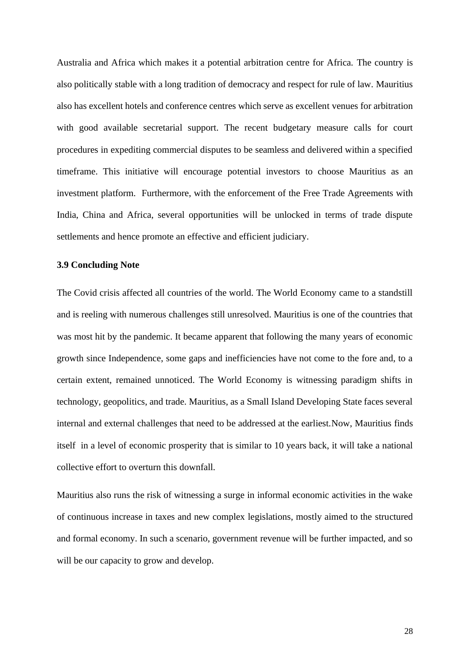Australia and Africa which makes it a potential arbitration centre for Africa. The country is also politically stable with a long tradition of democracy and respect for rule of law. Mauritius also has excellent hotels and conference centres which serve as excellent venues for arbitration with good available secretarial support. The recent budgetary measure calls for court procedures in expediting commercial disputes to be seamless and delivered within a specified timeframe. This initiative will encourage potential investors to choose Mauritius as an investment platform. Furthermore, with the enforcement of the Free Trade Agreements with India, China and Africa, several opportunities will be unlocked in terms of trade dispute settlements and hence promote an effective and efficient judiciary.

### **3.9 Concluding Note**

The Covid crisis affected all countries of the world. The World Economy came to a standstill and is reeling with numerous challenges still unresolved. Mauritius is one of the countries that was most hit by the pandemic. It became apparent that following the many years of economic growth since Independence, some gaps and inefficiencies have not come to the fore and, to a certain extent, remained unnoticed. The World Economy is witnessing paradigm shifts in technology, geopolitics, and trade. Mauritius, as a Small Island Developing State faces several internal and external challenges that need to be addressed at the earliest.Now, Mauritius finds itself in a level of economic prosperity that is similar to 10 years back, it will take a national collective effort to overturn this downfall.

Mauritius also runs the risk of witnessing a surge in informal economic activities in the wake of continuous increase in taxes and new complex legislations, mostly aimed to the structured and formal economy. In such a scenario, government revenue will be further impacted, and so will be our capacity to grow and develop.